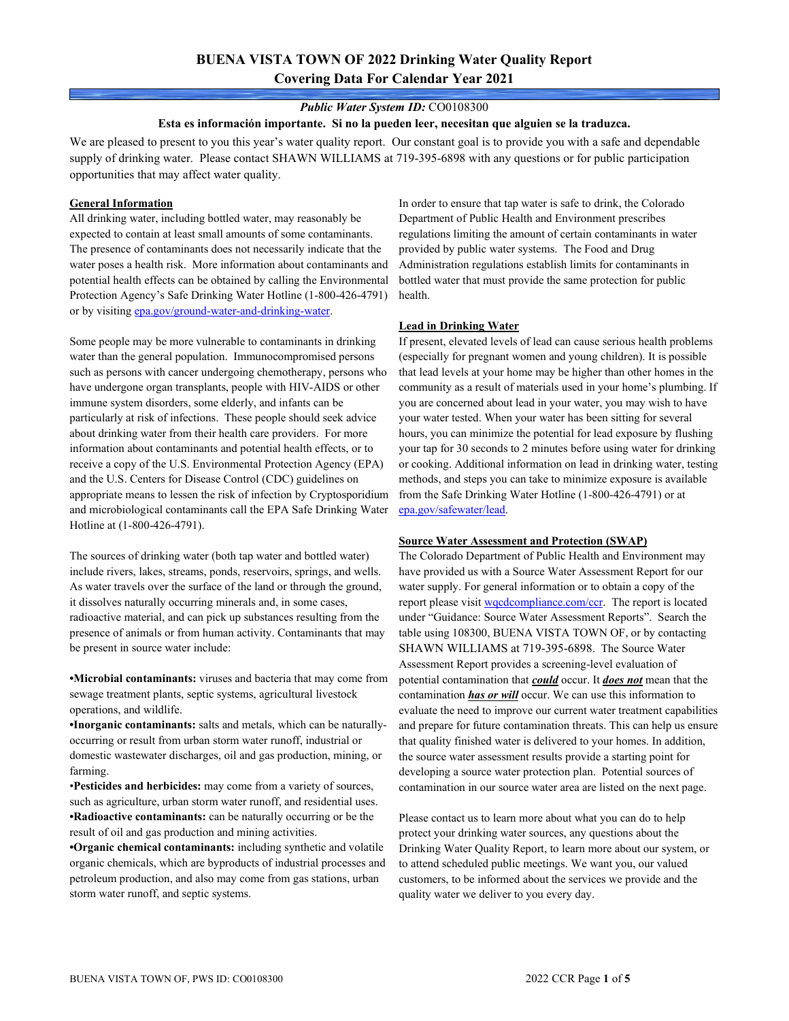# **BUENA VISTA TOWN OF 2022 Drinking Water Quality Report Covering Data For Calendar Year 2021**

### *Public Water System ID:* CO0108300

#### **Esta es información importante. Si no la pueden leer, necesitan que alguien se la traduzca.**

We are pleased to present to you this year's water quality report. Our constant goal is to provide you with a safe and dependable supply of drinking water. Please contact SHAWN WILLIAMS at 719-395-6898 with any questions or for public participation opportunities that may affect water quality.

### **General Information**

All drinking water, including bottled water, may reasonably be expected to contain at least small amounts of some contaminants. The presence of contaminants does not necessarily indicate that the water poses a health risk. More information about contaminants and potential health effects can be obtained by calling the Environmental Protection Agency's Safe Drinking Water Hotline (1-800-426-4791) or by visiting [epa.gov/ground-water-and-drinking-water.](https://www.epa.gov/ground-water-and-drinking-water)

Some people may be more vulnerable to contaminants in drinking water than the general population. Immunocompromised persons such as persons with cancer undergoing chemotherapy, persons who have undergone organ transplants, people with HIV-AIDS or other immune system disorders, some elderly, and infants can be particularly at risk of infections. These people should seek advice about drinking water from their health care providers. For more information about contaminants and potential health effects, or to receive a copy of the U.S. Environmental Protection Agency (EPA) and the U.S. Centers for Disease Control (CDC) guidelines on appropriate means to lessen the risk of infection by Cryptosporidium and microbiological contaminants call the EPA Safe Drinking Water Hotline at (1-800-426-4791).

The sources of drinking water (both tap water and bottled water) include rivers, lakes, streams, ponds, reservoirs, springs, and wells. As water travels over the surface of the land or through the ground, it dissolves naturally occurring minerals and, in some cases, radioactive material, and can pick up substances resulting from the presence of animals or from human activity. Contaminants that may be present in source water include:

**•Microbial contaminants:** viruses and bacteria that may come from sewage treatment plants, septic systems, agricultural livestock operations, and wildlife.

**•Inorganic contaminants:** salts and metals, which can be naturallyoccurring or result from urban storm water runoff, industrial or domestic wastewater discharges, oil and gas production, mining, or farming.

•**Pesticides and herbicides:** may come from a variety of sources, such as agriculture, urban storm water runoff, and residential uses. **•Radioactive contaminants:** can be naturally occurring or be the result of oil and gas production and mining activities.

**•Organic chemical contaminants:** including synthetic and volatile organic chemicals, which are byproducts of industrial processes and petroleum production, and also may come from gas stations, urban storm water runoff, and septic systems.

In order to ensure that tap water is safe to drink, the Colorado Department of Public Health and Environment prescribes regulations limiting the amount of certain contaminants in water provided by public water systems. The Food and Drug Administration regulations establish limits for contaminants in bottled water that must provide the same protection for public health.

### **Lead in Drinking Water**

If present, elevated levels of lead can cause serious health problems (especially for pregnant women and young children). It is possible that lead levels at your home may be higher than other homes in the community as a result of materials used in your home's plumbing. If you are concerned about lead in your water, you may wish to have your water tested. When your water has been sitting for several hours, you can minimize the potential for lead exposure by flushing your tap for 30 seconds to 2 minutes before using water for drinking or cooking. Additional information on lead in drinking water, testing methods, and steps you can take to minimize exposure is available from the Safe Drinking Water Hotline (1-800-426-4791) or at [epa.gov/safewater/lead.](http://www.epa.gov/safewater/lead) 

#### **Source Water Assessment and Protection (SWAP)**

The Colorado Department of Public Health and Environment may have provided us with a Source Water Assessment Report for our water supply. For general information or to obtain a copy of the report please visit [wqcdcompliance.com/ccr.](https://wqcdcompliance.com/ccr) The report is located under "Guidance: Source Water Assessment Reports". Search the table using 108300, BUENA VISTA TOWN OF, or by contacting SHAWN WILLIAMS at 719-395-6898. The Source Water Assessment Report provides a screening-level evaluation of potential contamination that *could* occur. It *does not* mean that the contamination *has or will* occur. We can use this information to evaluate the need to improve our current water treatment capabilities and prepare for future contamination threats. This can help us ensure that quality finished water is delivered to your homes. In addition, the source water assessment results provide a starting point for developing a source water protection plan. Potential sources of contamination in our source water area are listed on the next page.

Please contact us to learn more about what you can do to help protect your drinking water sources, any questions about the Drinking Water Quality Report, to learn more about our system, or to attend scheduled public meetings. We want you, our valued customers, to be informed about the services we provide and the quality water we deliver to you every day.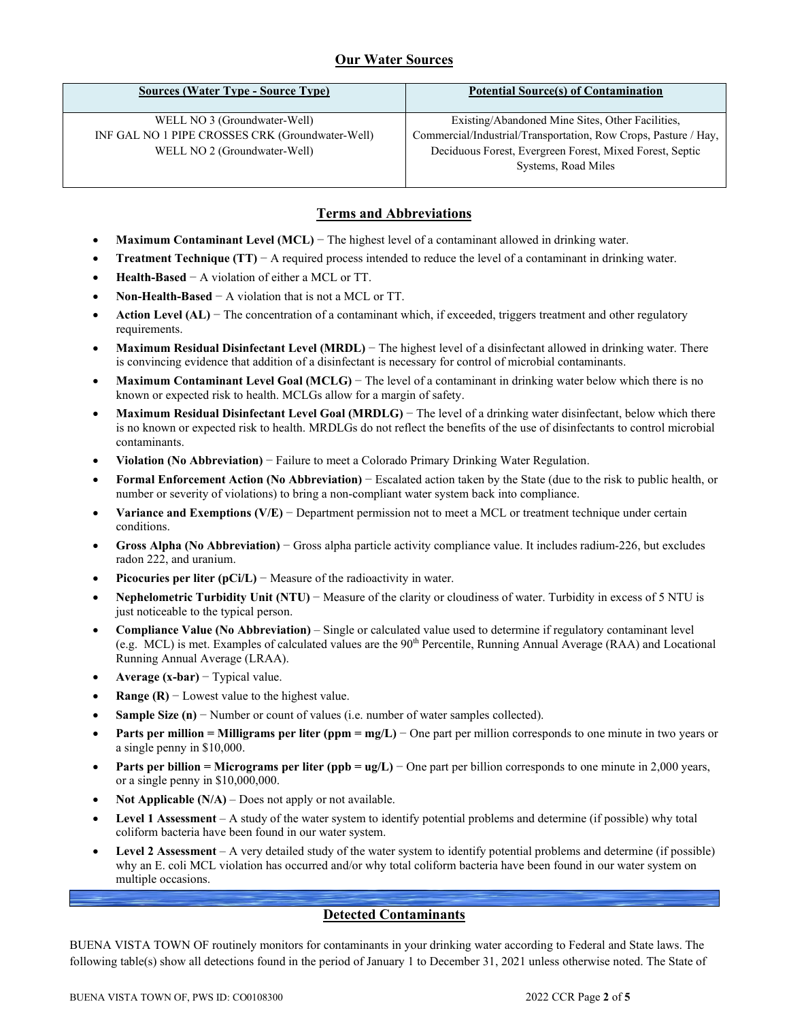# **Our Water Sources**

| <b>Sources (Water Type - Source Type)</b>        | <b>Potential Source(s) of Contamination</b>                     |  |  |  |  |
|--------------------------------------------------|-----------------------------------------------------------------|--|--|--|--|
| WELL NO 3 (Groundwater-Well)                     | Existing/Abandoned Mine Sites, Other Facilities,                |  |  |  |  |
| INF GAL NO 1 PIPE CROSSES CRK (Groundwater-Well) | Commercial/Industrial/Transportation, Row Crops, Pasture / Hay, |  |  |  |  |
| WELL NO 2 (Groundwater-Well)                     | Deciduous Forest, Evergreen Forest, Mixed Forest, Septic        |  |  |  |  |
|                                                  | Systems, Road Miles                                             |  |  |  |  |
|                                                  |                                                                 |  |  |  |  |

### **Terms and Abbreviations**

- **Maximum Contaminant Level (MCL)** − The highest level of a contaminant allowed in drinking water.
- **Treatment Technique (TT)** − A required process intended to reduce the level of a contaminant in drinking water.
- **Health-Based** − A violation of either a MCL or TT.
- **Non-Health-Based** − A violation that is not a MCL or TT.
- **Action Level (AL)** − The concentration of a contaminant which, if exceeded, triggers treatment and other regulatory requirements.
- **Maximum Residual Disinfectant Level (MRDL)** − The highest level of a disinfectant allowed in drinking water. There is convincing evidence that addition of a disinfectant is necessary for control of microbial contaminants.
- **Maximum Contaminant Level Goal (MCLG)** − The level of a contaminant in drinking water below which there is no known or expected risk to health. MCLGs allow for a margin of safety.
- **Maximum Residual Disinfectant Level Goal (MRDLG)** − The level of a drinking water disinfectant, below which there is no known or expected risk to health. MRDLGs do not reflect the benefits of the use of disinfectants to control microbial contaminants.
- **Violation (No Abbreviation)** − Failure to meet a Colorado Primary Drinking Water Regulation.
- **Formal Enforcement Action (No Abbreviation)** − Escalated action taken by the State (due to the risk to public health, or number or severity of violations) to bring a non-compliant water system back into compliance.
- **Variance and Exemptions (V/E)** − Department permission not to meet a MCL or treatment technique under certain conditions.
- **Gross Alpha (No Abbreviation)** − Gross alpha particle activity compliance value. It includes radium-226, but excludes radon 222, and uranium.
- **Picocuries per liter (pCi/L)** − Measure of the radioactivity in water.
- **Nephelometric Turbidity Unit (NTU)** − Measure of the clarity or cloudiness of water. Turbidity in excess of 5 NTU is just noticeable to the typical person.
- **Compliance Value (No Abbreviation)** Single or calculated value used to determine if regulatory contaminant level (e.g. MCL) is met. Examples of calculated values are the 90<sup>th</sup> Percentile, Running Annual Average (RAA) and Locational Running Annual Average (LRAA).
- **Average (x-bar)** − Typical value.
- **Range (R)**  $-$  Lowest value to the highest value.
- **Sample Size (n)** − Number or count of values (i.e. number of water samples collected).
- **Parts per million = Milligrams per liter (ppm = mg/L)** − One part per million corresponds to one minute in two years or a single penny in \$10,000.
- **Parts per billion = Micrograms per liter (ppb = ug/L)** − One part per billion corresponds to one minute in 2,000 years, or a single penny in \$10,000,000.
- **Not Applicable (N/A)** Does not apply or not available.
- **Level 1 Assessment** A study of the water system to identify potential problems and determine (if possible) why total coliform bacteria have been found in our water system.
- **Level 2 Assessment** A very detailed study of the water system to identify potential problems and determine (if possible) why an E. coli MCL violation has occurred and/or why total coliform bacteria have been found in our water system on multiple occasions.

## **Detected Contaminants**

BUENA VISTA TOWN OF routinely monitors for contaminants in your drinking water according to Federal and State laws. The following table(s) show all detections found in the period of January 1 to December 31, 2021 unless otherwise noted. The State of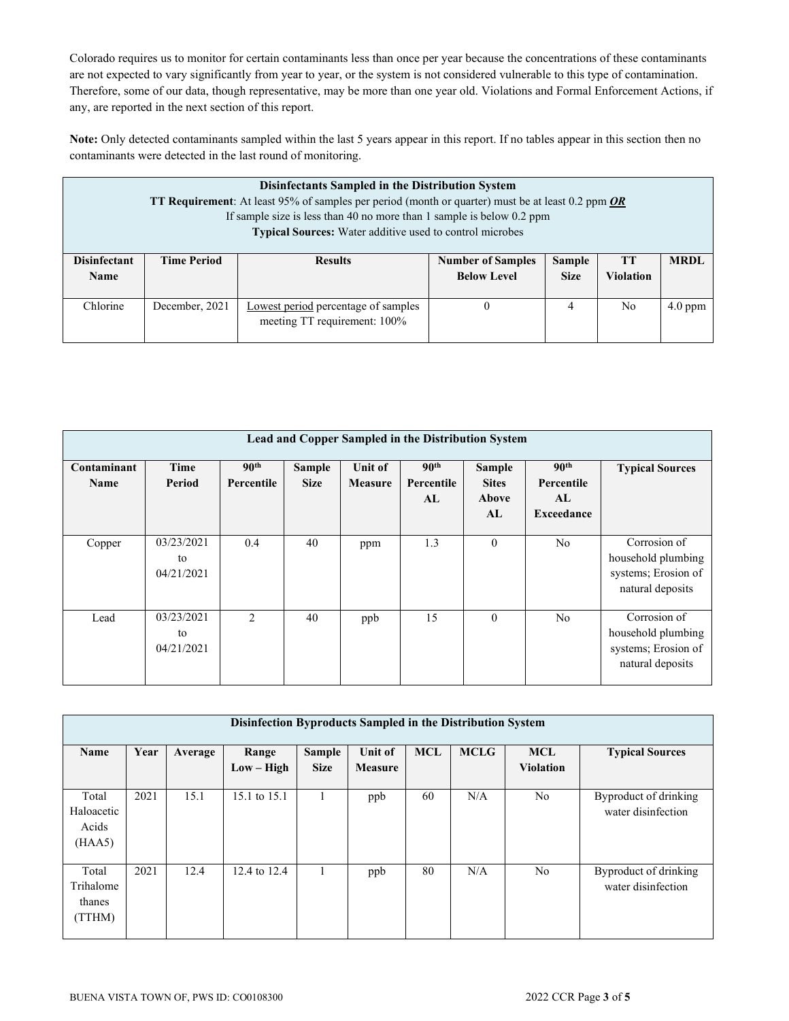Colorado requires us to monitor for certain contaminants less than once per year because the concentrations of these contaminants are not expected to vary significantly from year to year, or the system is not considered vulnerable to this type of contamination. Therefore, some of our data, though representative, may be more than one year old. Violations and Formal Enforcement Actions, if any, are reported in the next section of this report.

**Note:** Only detected contaminants sampled within the last 5 years appear in this report. If no tables appear in this section then no contaminants were detected in the last round of monitoring.

| <b>Disinfectants Sampled in the Distribution System</b><br><b>TT Requirement:</b> At least 95% of samples per period (month or quarter) must be at least 0.2 ppm <b>OR</b><br>If sample size is less than 40 no more than 1 sample is below $0.2$ ppm<br>Typical Sources: Water additive used to control microbes |                    |                                     |                                                |               |                |             |  |  |  |  |  |
|-------------------------------------------------------------------------------------------------------------------------------------------------------------------------------------------------------------------------------------------------------------------------------------------------------------------|--------------------|-------------------------------------|------------------------------------------------|---------------|----------------|-------------|--|--|--|--|--|
| <b>Disinfectant</b>                                                                                                                                                                                                                                                                                               | <b>Time Period</b> | <b>Results</b>                      | <b>Number of Samples</b>                       | <b>Sample</b> | <b>TT</b>      | <b>MRDL</b> |  |  |  |  |  |
| <b>Name</b>                                                                                                                                                                                                                                                                                                       |                    |                                     | <b>Below Level</b><br><b>Size</b><br>Violation |               |                |             |  |  |  |  |  |
| Chlorine                                                                                                                                                                                                                                                                                                          | December, 2021     | Lowest period percentage of samples | $\theta$                                       | 4             | N <sub>0</sub> | $4.0$ ppm   |  |  |  |  |  |
|                                                                                                                                                                                                                                                                                                                   |                    | meeting TT requirement: 100%        |                                                |               |                |             |  |  |  |  |  |

|                            | Lead and Copper Sampled in the Distribution System |                                |                       |                           |                                      |                                              |                                                    |                                                                               |  |  |  |
|----------------------------|----------------------------------------------------|--------------------------------|-----------------------|---------------------------|--------------------------------------|----------------------------------------------|----------------------------------------------------|-------------------------------------------------------------------------------|--|--|--|
| Contaminant<br><b>Name</b> | Time<br>Period                                     | 90 <sup>th</sup><br>Percentile | Sample<br><b>Size</b> | Unit of<br><b>Measure</b> | 90 <sup>th</sup><br>Percentile<br>AL | <b>Sample</b><br><b>Sites</b><br>Above<br>AL | 90 <sup>th</sup><br>Percentile<br>AL<br>Exceedance | <b>Typical Sources</b>                                                        |  |  |  |
| Copper                     | 03/23/2021<br>to<br>04/21/2021                     | 0.4                            | 40                    | ppm                       | 1.3                                  | $\mathbf{0}$                                 | N <sub>o</sub>                                     | Corrosion of<br>household plumbing<br>systems; Erosion of<br>natural deposits |  |  |  |
| Lead                       | 03/23/2021<br>to<br>04/21/2021                     | $\mathfrak{D}$                 | 40                    | ppb                       | 15                                   | $\theta$                                     | N <sub>o</sub>                                     | Corrosion of<br>household plumbing<br>systems; Erosion of<br>natural deposits |  |  |  |

| Disinfection Byproducts Sampled in the Distribution System |      |         |                       |                       |                           |            |             |                                |                                             |  |
|------------------------------------------------------------|------|---------|-----------------------|-----------------------|---------------------------|------------|-------------|--------------------------------|---------------------------------------------|--|
| Name                                                       | Year | Average | Range<br>$Low - High$ | Sample<br><b>Size</b> | <b>Unit of</b><br>Measure | <b>MCL</b> | <b>MCLG</b> | <b>MCL</b><br><b>Violation</b> | <b>Typical Sources</b>                      |  |
| Total<br>Haloacetic<br>Acids<br>(HAA5)                     | 2021 | 15.1    | 15.1 to 15.1          |                       | ppb                       | 60         | N/A         | No                             | Byproduct of drinking<br>water disinfection |  |
| Total<br>Trihalome<br>thanes<br>(TTHM)                     | 2021 | 12.4    | 12.4 to 12.4          |                       | ppb                       | 80         | N/A         | N <sub>o</sub>                 | Byproduct of drinking<br>water disinfection |  |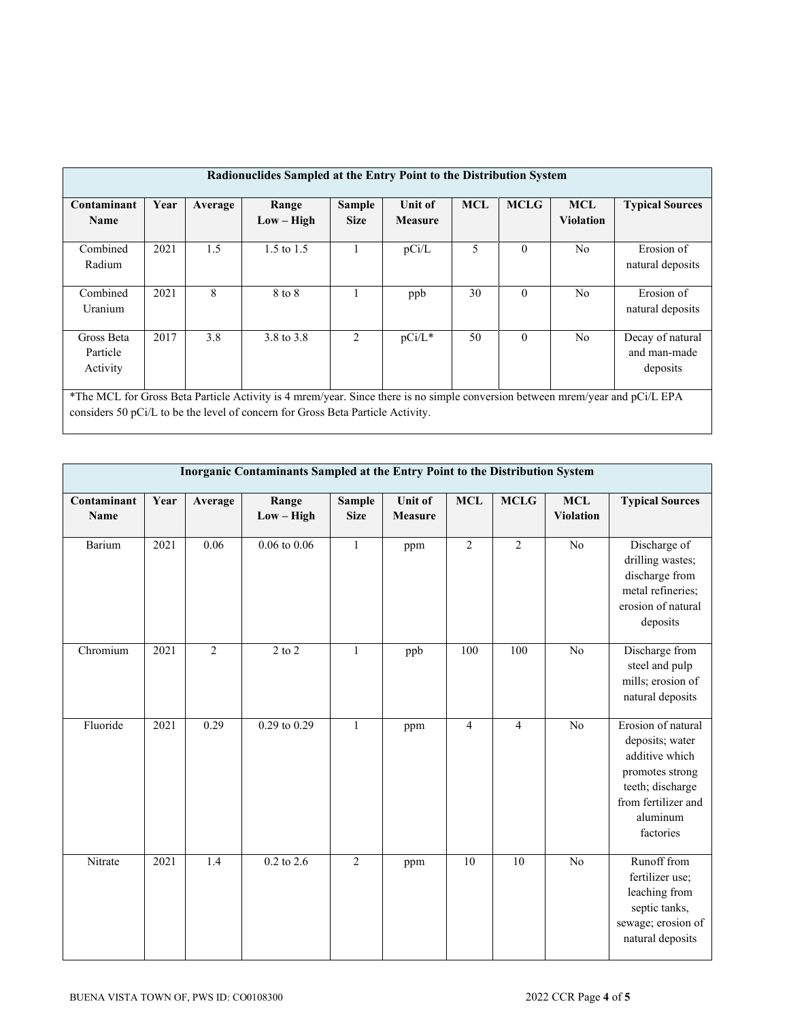| Radionuclides Sampled at the Entry Point to the Distribution System                                                                                                                                              |      |         |                       |                       |                                  |            |             |                                |                                |  |
|------------------------------------------------------------------------------------------------------------------------------------------------------------------------------------------------------------------|------|---------|-----------------------|-----------------------|----------------------------------|------------|-------------|--------------------------------|--------------------------------|--|
| Contaminant<br>Name                                                                                                                                                                                              | Year | Average | Range<br>$Low - High$ | Sample<br><b>Size</b> | <b>Unit of</b><br><b>Measure</b> | <b>MCL</b> | <b>MCLG</b> | <b>MCL</b><br><b>Violation</b> | <b>Typical Sources</b>         |  |
| Combined<br>Radium                                                                                                                                                                                               | 2021 | 1.5     | 1.5 to $1.5$          |                       | pCi/L                            | 5          | $\theta$    | N <sub>0</sub>                 | Erosion of<br>natural deposits |  |
| Combined<br>Uranium                                                                                                                                                                                              | 2021 | 8       | 8 to 8                |                       | ppb                              | 30         | $\theta$    | N <sub>o</sub>                 | Erosion of<br>natural deposits |  |
| 3.8<br>$\theta$<br>2017<br>3.8 to 3.8<br>2<br>50<br>$pCi/L^*$<br>N <sub>0</sub><br>Gross Beta<br>Decay of natural<br>and man-made<br>Particle<br>Activity<br>deposits                                            |      |         |                       |                       |                                  |            |             |                                |                                |  |
| *The MCL for Gross Beta Particle Activity is 4 mrem/year. Since there is no simple conversion between mrem/year and pCi/L EPA<br>considers 50 pCi/L to be the level of concern for Gross Beta Particle Activity. |      |         |                       |                       |                                  |            |             |                                |                                |  |

| Inorganic Contaminants Sampled at the Entry Point to the Distribution System |      |                |                       |                       |                           |                |                |                                |                                                                                                                                                |  |
|------------------------------------------------------------------------------|------|----------------|-----------------------|-----------------------|---------------------------|----------------|----------------|--------------------------------|------------------------------------------------------------------------------------------------------------------------------------------------|--|
| Contaminant<br><b>Name</b>                                                   | Year | Average        | Range<br>$Low - High$ | Sample<br><b>Size</b> | Unit of<br><b>Measure</b> | <b>MCL</b>     | <b>MCLG</b>    | <b>MCL</b><br><b>Violation</b> | <b>Typical Sources</b>                                                                                                                         |  |
| Barium                                                                       | 2021 | 0.06           | $0.06$ to $0.06$      | $\mathbf{1}$          | ppm                       | $\overline{2}$ | $\overline{2}$ | $\overline{No}$                | Discharge of<br>drilling wastes;<br>discharge from<br>metal refineries;<br>erosion of natural<br>deposits                                      |  |
| Chromium                                                                     | 2021 | $\overline{2}$ | $2$ to $2$            | $\mathbf{1}$          | ppb                       | 100            | 100            | No                             | Discharge from<br>steel and pulp<br>mills; erosion of<br>natural deposits                                                                      |  |
| Fluoride                                                                     | 2021 | 0.29           | $0.29$ to $0.29$      | $\mathbf{1}$          | ppm                       | $\overline{4}$ | $\overline{4}$ | No                             | Erosion of natural<br>deposits; water<br>additive which<br>promotes strong<br>teeth; discharge<br>from fertilizer and<br>aluminum<br>factories |  |
| Nitrate                                                                      | 2021 | 1.4            | $0.2$ to $2.6$        | $\overline{2}$        | ppm                       | 10             | 10             | No                             | Runoff from<br>fertilizer use;<br>leaching from<br>septic tanks,<br>sewage; erosion of<br>natural deposits                                     |  |